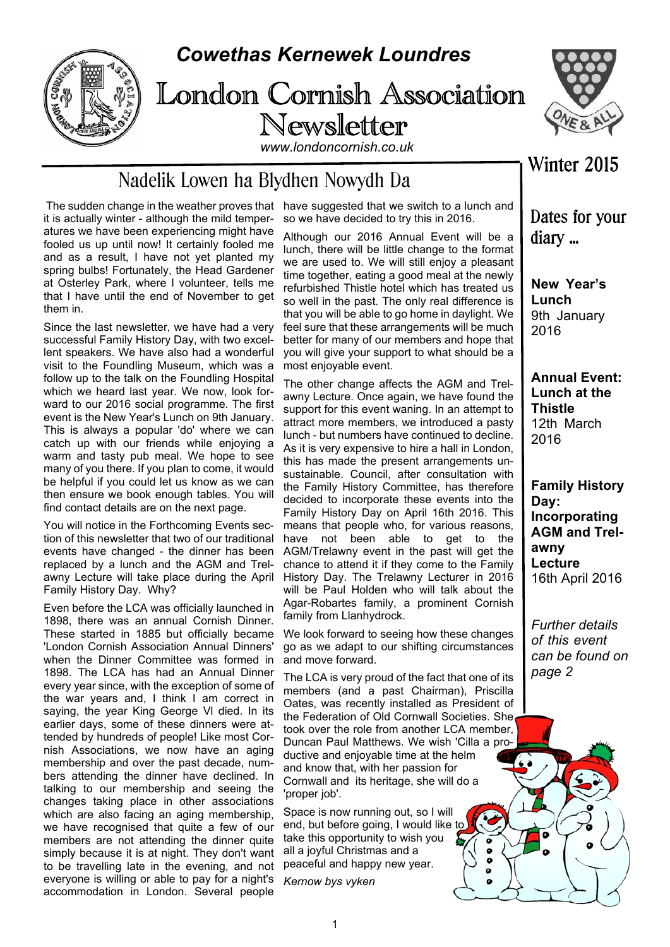

## *Cowethas Kernewek Loundres*

## London Cornish Association Newsletter *www.londoncornish.co.uk*



## Nadelik Lowen ha Blydhen Nowydh Da

 The sudden change in the weather proves that have suggested that we switch to a lunch and it is actually winter - although the mild temperatures we have been experiencing might have fooled us up until now! It certainly fooled me and as a result, I have not yet planted my spring bulbs! Fortunately, the Head Gardener at Osterley Park, where I volunteer, tells me that I have until the end of November to get them in.

Since the last newsletter, we have had a very successful Family History Day, with two excellent speakers. We have also had a wonderful visit to the Foundling Museum, which was a follow up to the talk on the Foundling Hospital which we heard last year. We now, look forward to our 2016 social programme. The first event is the New Year's Lunch on 9th January. This is always a popular 'do' where we can catch up with our friends while enjoying a warm and tasty pub meal. We hope to see many of you there. If you plan to come, it would be helpful if you could let us know as we can then ensure we book enough tables. You will find contact details are on the next page.

You will notice in the Forthcoming Events section of this newsletter that two of our traditional events have changed - the dinner has been replaced by a lunch and the AGM and Trelawny Lecture will take place during the April Family History Day. Why?

Even before the LCA was officially launched in 1898, there was an annual Cornish Dinner. These started in 1885 but officially became 'London Cornish Association Annual Dinners' when the Dinner Committee was formed in 1898. The LCA has had an Annual Dinner every year since, with the exception of some of the war years and, I think I am correct in saying, the year King George Vl died. In its earlier days, some of these dinners were attended by hundreds of people! Like most Cornish Associations, we now have an aging membership and over the past decade, numbers attending the dinner have declined. In talking to our membership and seeing the changes taking place in other associations which are also facing an aging membership, we have recognised that quite a few of our members are not attending the dinner quite simply because it is at night. They don't want to be travelling late in the evening, and not everyone is willing or able to pay for a night's accommodation in London. Several people

so we have decided to try this in 2016.

Although our 2016 Annual Event will be a lunch, there will be little change to the format we are used to. We will still enjoy a pleasant time together, eating a good meal at the newly refurbished Thistle hotel which has treated us so well in the past. The only real difference is that you will be able to go home in daylight. We feel sure that these arrangements will be much better for many of our members and hope that you will give your support to what should be a most enjoyable event.

The other change affects the AGM and Trelawny Lecture. Once again, we have found the support for this event waning. In an attempt to attract more members, we introduced a pasty lunch - but numbers have continued to decline. As it is very expensive to hire a hall in London, this has made the present arrangements unsustainable. Council, after consultation with the Family History Committee, has therefore decided to incorporate these events into the Family History Day on April 16th 2016. This means that people who, for various reasons, have not been able to get to the AGM/Trelawny event in the past will get the chance to attend it if they come to the Family History Day. The Trelawny Lecturer in 2016 will be Paul Holden who will talk about the Agar-Robartes family, a prominent Cornish family from Llanhydrock.

We look forward to seeing how these changes go as we adapt to our shifting circumstances and move forward.

The LCA is very proud of the fact that one of its members (and a past Chairman), Priscilla Oates, was recently installed as President of the Federation of Old Cornwall Societies. She took over the role from another LCA member, Duncan Paul Matthews. We wish 'Cilla a productive and enjoyable time at the helm and know that, with her passion for Cornwall and its heritage, she will do a 'proper job'.

> ō  $\ddot{\bullet}$  $\bullet$

Space is now running out, so I will end, but before going, I would like to take this opportunity to wish you all a joyful Christmas and a peaceful and happy new year.

*Kernow bys vyken*

Winter 2015

Dates for your diary ...

**New Year's Lunch** 9th January 2016

**Annual Event: Lunch at the Thistle** 12th March 2016

**Family History Day: Incorporating AGM and Trelawny Lecture** 16th April 2016

*Further details of this event can be found on page 2*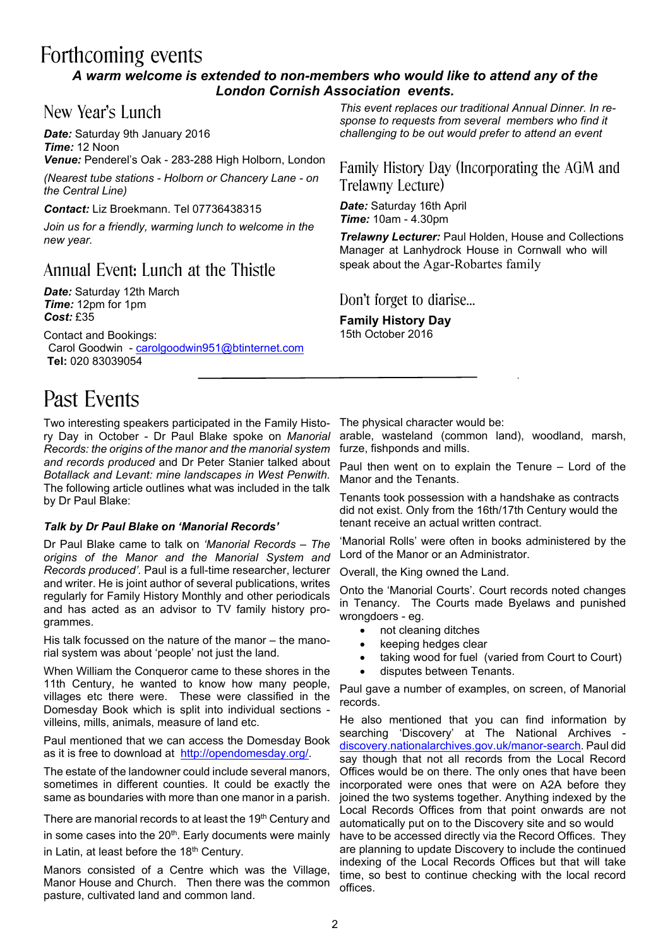# Forthcoming events

### *A warm welcome is extended to non-members who would like to attend any of the London Cornish Association events.*

### New Year's Lunch

*Date:* Saturday 9th January 2016 *Time:* 12 Noon *Venue:* Penderel's Oak - 283-288 High Holborn, London

*(Nearest tube stations - Holborn or Chancery Lane - on the Central Line)*

*Contact:* Liz Broekmann. Tel 07736438315

*Join us for a friendly, warming lunch to welcome in the new year.*

## Annual Event: Lunch at the Thistle

*Date:* Saturday 12th March *Time:* 12pm for 1pm *Cost:* £35

Contact and Bookings:

Carol Goodwin - carolgoodwin951@btinternet.com **Tel:** 020 83039054

# Past Events

Two interesting speakers participated in the Family History Day in October - Dr Paul Blake spoke on *Manorial Records: the origins of the manor and the manorial system and records produced* and Dr Peter Stanier talked about *Botallack and Levant: mine landscapes in West Penwith.* The following article outlines what was included in the talk by Dr Paul Blake:

### *Talk by Dr Paul Blake on 'Manorial Records'*

Dr Paul Blake came to talk on *'Manorial Records – The origins of the Manor and the Manorial System and Records produced'.* Paul is a full-time researcher, lecturer and writer. He is joint author of several publications, writes regularly for Family History Monthly and other periodicals and has acted as an advisor to TV family history programmes.

His talk focussed on the nature of the manor – the manorial system was about 'people' not just the land.

When William the Conqueror came to these shores in the 11th Century, he wanted to know how many people, villages etc there were. These were classified in the Domesday Book which is split into individual sections villeins, mills, animals, measure of land etc.

Paul mentioned that we can access the Domesday Book as it is free to download at http://opendomesday.org/.

The estate of the landowner could include several manors, sometimes in different counties. It could be exactly the same as boundaries with more than one manor in a parish.

There are manorial records to at least the 19<sup>th</sup> Century and in some cases into the 20<sup>th</sup>. Early documents were mainly in Latin, at least before the 18<sup>th</sup> Century.

Manors consisted of a Centre which was the Village, Manor House and Church. Then there was the common pasture, cultivated land and common land.

*This event replaces our traditional Annual Dinner. In response to requests from several members who find it challenging to be out would prefer to attend an event*

Family History Day (Incorporating the AGM and Trelawny Lecture)

*Date:* Saturday 16th April *Time:* 10am - 4.30pm

*Trelawny Lecturer:* Paul Holden, House and Collections Manager at Lanhydrock House in Cornwall who will speak about the Agar-Robartes family

Don't forget to diarise…

**Family History Day** 15th October 2016

The physical character would be:

arable, wasteland (common land), woodland, marsh, furze, fishponds and mills.

Paul then went on to explain the Tenure – Lord of the Manor and the Tenants.

Tenants took possession with a handshake as contracts did not exist. Only from the 16th/17th Century would the tenant receive an actual written contract.

'Manorial Rolls' were often in books administered by the Lord of the Manor or an Administrator.

Overall, the King owned the Land.

Onto the 'Manorial Courts'. Court records noted changes in Tenancy. The Courts made Byelaws and punished wrongdoers - eg.

- not cleaning ditches
- · keeping hedges clear
- taking wood for fuel (varied from Court to Court)
- disputes between Tenants.

Paul gave a number of examples, on screen, of Manorial records.

He also mentioned that you can find information by searching 'Discovery' at The National Archives discovery.nationalarchives.gov.uk/manor-search. Paul did say though that not all records from the Local Record Offices would be on there. The only ones that have been incorporated were ones that were on A2A before they joined the two systems together. Anything indexed by the Local Records Offices from that point onwards are not automatically put on to the Discovery site and so would have to be accessed directly via the Record Offices. They are planning to update Discovery to include the continued indexing of the Local Records Offices but that will take time, so best to continue checking with the local record offices.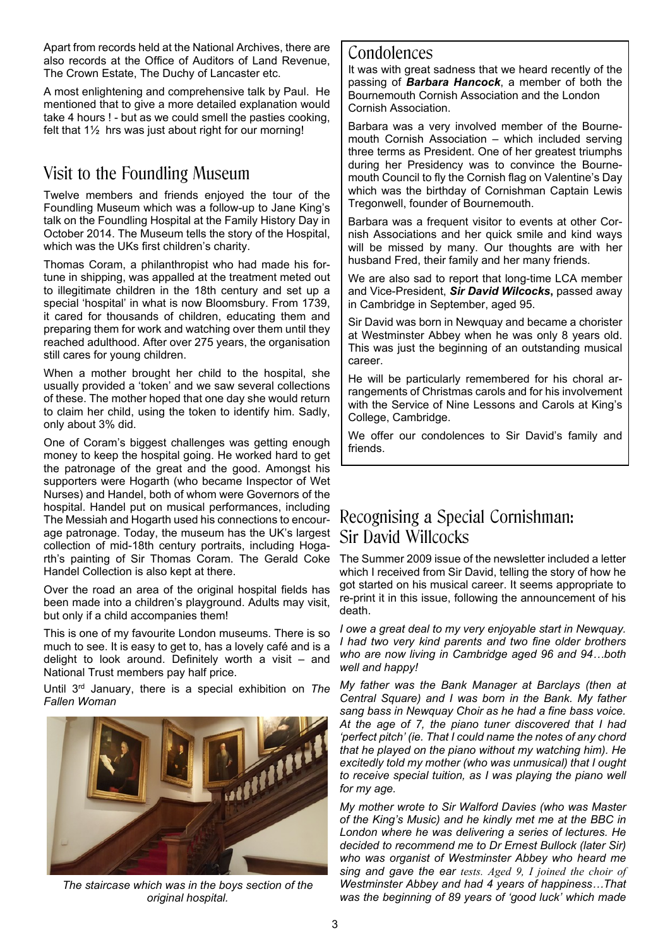Apart from records held at the National Archives, there are also records at the Office of Auditors of Land Revenue, The Crown Estate, The Duchy of Lancaster etc.

A most enlightening and comprehensive talk by Paul. He mentioned that to give a more detailed explanation would take 4 hours ! - but as we could smell the pasties cooking, felt that 1½ hrs was just about right for our morning!

## Visit to the Foundling Museum

Twelve members and friends enjoyed the tour of the Foundling Museum which was a follow-up to Jane King's talk on the Foundling Hospital at the Family History Day in October 2014. The Museum tells the story of the Hospital, which was the UKs first children's charity.

Thomas Coram, a philanthropist who had made his fortune in shipping, was appalled at the treatment meted out to illegitimate children in the 18th century and set up a special 'hospital' in what is now Bloomsbury. From 1739, it cared for thousands of children, educating them and preparing them for work and watching over them until they reached adulthood. After over 275 years, the organisation still cares for young children.

When a mother brought her child to the hospital, she usually provided a 'token' and we saw several collections of these. The mother hoped that one day she would return to claim her child, using the token to identify him. Sadly, only about 3% did.

One of Coram's biggest challenges was getting enough money to keep the hospital going. He worked hard to get the patronage of the great and the good. Amongst his supporters were Hogarth (who became Inspector of Wet Nurses) and Handel, both of whom were Governors of the hospital. Handel put on musical performances, including The Messiah and Hogarth used his connections to encourage patronage. Today, the museum has the UK's largest collection of mid-18th century portraits, including Hogarth's painting of Sir Thomas Coram. The Gerald Coke Handel Collection is also kept at there.

Over the road an area of the original hospital fields has been made into a children's playground. Adults may visit, but only if a child accompanies them!

This is one of my favourite London museums. There is so much to see. It is easy to get to, has a lovely café and is a delight to look around. Definitely worth a visit – and National Trust members pay half price.

Until 3rd January, there is a special exhibition on *The Fallen Woman*



*The staircase which was in the boys section of the original hospital.*

### Condolences

It was with great sadness that we heard recently of the passing of *Barbara Hancock*, a member of both the Bournemouth Cornish Association and the London Cornish Association.

Barbara was a very involved member of the Bournemouth Cornish Association – which included serving three terms as President. One of her greatest triumphs during her Presidency was to convince the Bournemouth Council to fly the Cornish flag on Valentine's Day which was the birthday of Cornishman Captain Lewis Tregonwell, founder of Bournemouth.

Barbara was a frequent visitor to events at other Cornish Associations and her quick smile and kind ways will be missed by many. Our thoughts are with her husband Fred, their family and her many friends.

We are also sad to report that long-time LCA member and Vice-President, *Sir David Wilcocks***,** passed away in Cambridge in September, aged 95.

Sir David was born in Newquay and became a chorister at Westminster Abbey when he was only 8 years old. This was just the beginning of an outstanding musical career.

He will be particularly remembered for his choral arrangements of Christmas carols and for his involvement with the Service of Nine Lessons and Carols at King's College, Cambridge.

We offer our condolences to Sir David's family and friends.

## Recognising a Special Cornishman: Sir David Willcocks

The Summer 2009 issue of the newsletter included a letter which I received from Sir David, telling the story of how he got started on his musical career. It seems appropriate to re-print it in this issue, following the announcement of his death.

*I owe a great deal to my very enjoyable start in Newquay. I had two very kind parents and two fine older brothers who are now living in Cambridge aged 96 and 94…both well and happy!*

*My father was the Bank Manager at Barclays (then at Central Square) and I was born in the Bank. My father sang bass in Newquay Choir as he had a fine bass voice. At the age of 7, the piano tuner discovered that I had 'perfect pitch' (ie. That I could name the notes of any chord that he played on the piano without my watching him). He excitedly told my mother (who was unmusical) that I ought to receive special tuition, as I was playing the piano well for my age.*

*My mother wrote to Sir Walford Davies (who was Master of the King's Music) and he kindly met me at the BBC in London where he was delivering a series of lectures. He decided to recommend me to Dr Ernest Bullock (later Sir) who was organist of Westminster Abbey who heard me sing and gave the ear tests. Aged 9, I joined the choir of Westminster Abbey and had 4 years of happiness…That was the beginning of 89 years of 'good luck' which made*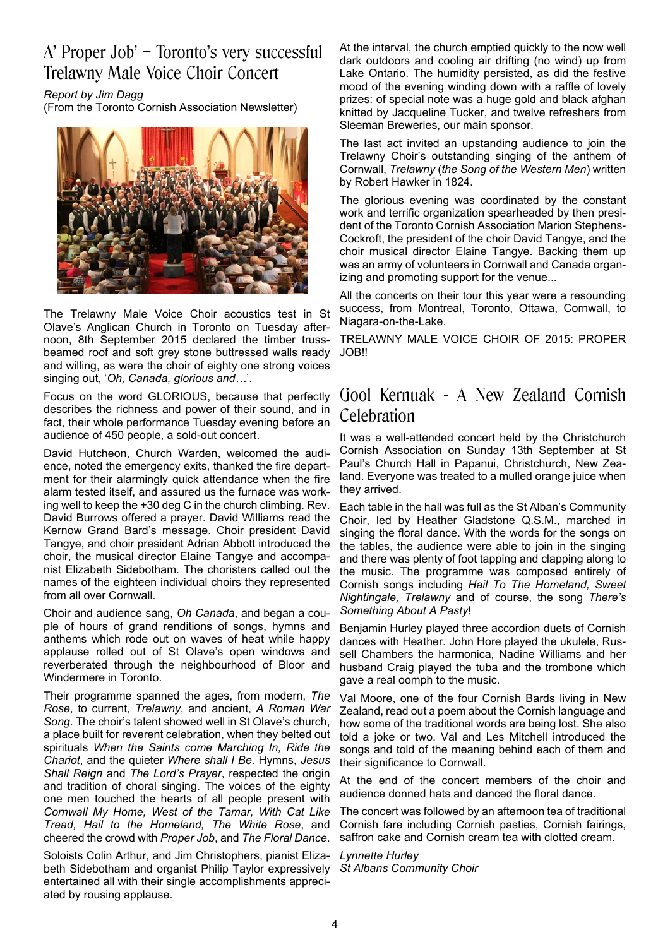## A' Proper Job' – Toronto's very successful Trelawny Male Voice Choir Concert

*Report by Jim Dagg*

(From the Toronto Cornish Association Newsletter)



The Trelawny Male Voice Choir acoustics test in St Olave's Anglican Church in Toronto on Tuesday afternoon, 8th September 2015 declared the timber trussbeamed roof and soft grey stone buttressed walls ready and willing, as were the choir of eighty one strong voices singing out, '*Oh, Canada, glorious and…*'.

Focus on the word GLORIOUS, because that perfectly describes the richness and power of their sound, and in fact, their whole performance Tuesday evening before an audience of 450 people, a sold-out concert.

David Hutcheon, Church Warden, welcomed the audience, noted the emergency exits, thanked the fire department for their alarmingly quick attendance when the fire alarm tested itself, and assured us the furnace was working well to keep the +30 deg C in the church climbing. Rev. David Burrows offered a prayer. David Williams read the Kernow Grand Bard's message. Choir president David Tangye, and choir president Adrian Abbott introduced the choir, the musical director Elaine Tangye and accompanist Elizabeth Sidebotham. The choristers called out the names of the eighteen individual choirs they represented from all over Cornwall.

Choir and audience sang, *Oh Canada*, and began a couple of hours of grand renditions of songs, hymns and anthems which rode out on waves of heat while happy applause rolled out of St Olave's open windows and reverberated through the neighbourhood of Bloor and Windermere in Toronto.

Their programme spanned the ages, from modern, *The Rose*, to current, *Trelawny*, and ancient, *A Roman War Song*. The choir's talent showed well in St Olave's church, a place built for reverent celebration, when they belted out spirituals *When the Saints come Marching In, Ride the Chariot*, and the quieter *Where shall I Be*. Hymns, *Jesus Shall Reign* and *The Lord's Prayer*, respected the origin and tradition of choral singing. The voices of the eighty one men touched the hearts of all people present with *Cornwall My Home, West of the Tamar, With Cat Like Tread, Hail to the Homeland, The White Rose*, and cheered the crowd with *Proper Job*, and *The Floral Dance*.

Soloists Colin Arthur, and Jim Christophers, pianist Elizabeth Sidebotham and organist Philip Taylor expressively entertained all with their single accomplishments appreciated by rousing applause.

At the interval, the church emptied quickly to the now well dark outdoors and cooling air drifting (no wind) up from Lake Ontario. The humidity persisted, as did the festive mood of the evening winding down with a raffle of lovely prizes: of special note was a huge gold and black afghan knitted by Jacqueline Tucker, and twelve refreshers from Sleeman Breweries, our main sponsor.

The last act invited an upstanding audience to join the Trelawny Choir's outstanding singing of the anthem of Cornwall, *Trelawny* (*the Song of the Western Men*) written by Robert Hawker in 1824.

The glorious evening was coordinated by the constant work and terrific organization spearheaded by then president of the Toronto Cornish Association Marion Stephens-Cockroft, the president of the choir David Tangye, and the choir musical director Elaine Tangye. Backing them up was an army of volunteers in Cornwall and Canada organizing and promoting support for the venue...

All the concerts on their tour this year were a resounding success, from Montreal, Toronto, Ottawa, Cornwall, to Niagara-on-the-Lake.

TRELAWNY MALE VOICE CHOIR OF 2015: PROPER JOB!!

### Gool Kernuak - A New Zealand Cornish Celebration

It was a well-attended concert held by the Christchurch Cornish Association on Sunday 13th September at St Paul's Church Hall in Papanui, Christchurch, New Zealand. Everyone was treated to a mulled orange juice when they arrived.

Each table in the hall was full as the St Alban's Community Choir, led by Heather Gladstone Q.S.M., marched in singing the floral dance. With the words for the songs on the tables, the audience were able to join in the singing and there was plenty of foot tapping and clapping along to the music. The programme was composed entirely of Cornish songs including *Hail To The Homeland, Sweet Nightingale, Trelawny* and of course, the song *There's Something About A Pasty*!

Benjamin Hurley played three accordion duets of Cornish dances with Heather. John Hore played the ukulele, Russell Chambers the harmonica, Nadine Williams and her husband Craig played the tuba and the trombone which gave a real oomph to the music.

Val Moore, one of the four Cornish Bards living in New Zealand, read out a poem about the Cornish language and how some of the traditional words are being lost. She also told a joke or two. Val and Les Mitchell introduced the songs and told of the meaning behind each of them and their significance to Cornwall.

At the end of the concert members of the choir and audience donned hats and danced the floral dance.

The concert was followed by an afternoon tea of traditional Cornish fare including Cornish pasties, Cornish fairings, saffron cake and Cornish cream tea with clotted cream.

*Lynnette Hurley St Albans Community Choir*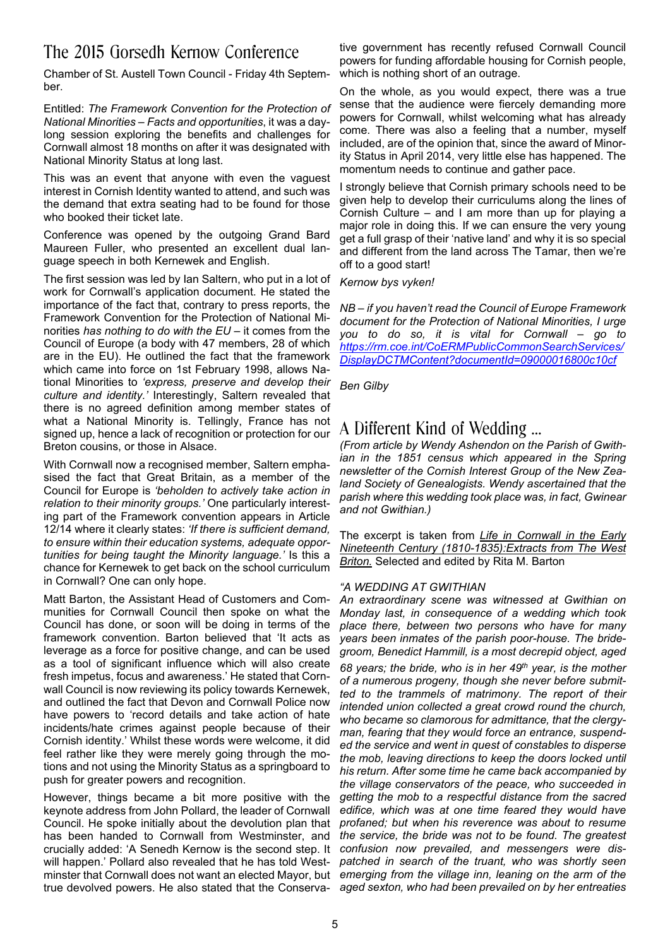## The 2015 Gorsedh Kernow Conference

Chamber of St. Austell Town Council - Friday 4th September.

Entitled: *The Framework Convention for the Protection of National Minorities – Facts and opportunities*, it was a daylong session exploring the benefits and challenges for Cornwall almost 18 months on after it was designated with National Minority Status at long last.

This was an event that anyone with even the vaguest interest in Cornish Identity wanted to attend, and such was the demand that extra seating had to be found for those who booked their ticket late.

Conference was opened by the outgoing Grand Bard Maureen Fuller, who presented an excellent dual language speech in both Kernewek and English.

The first session was led by Ian Saltern, who put in a lot of work for Cornwall's application document. He stated the importance of the fact that, contrary to press reports, the Framework Convention for the Protection of National Minorities *has nothing to do with the EU* – it comes from the Council of Europe (a body with 47 members, 28 of which are in the EU). He outlined the fact that the framework which came into force on 1st February 1998, allows National Minorities to *'express, preserve and develop their culture and identity.'* Interestingly, Saltern revealed that there is no agreed definition among member states of what a National Minority is. Tellingly, France has not signed up, hence a lack of recognition or protection for our Breton cousins, or those in Alsace.

With Cornwall now a recognised member, Saltern emphasised the fact that Great Britain, as a member of the Council for Europe is *'beholden to actively take action in relation to their minority groups.'* One particularly interesting part of the Framework convention appears in Article 12/14 where it clearly states: *'If there is sufficient demand, to ensure within their education systems, adequate opportunities for being taught the Minority language.'* Is this a chance for Kernewek to get back on the school curriculum in Cornwall? One can only hope.

Matt Barton, the Assistant Head of Customers and Communities for Cornwall Council then spoke on what the Council has done, or soon will be doing in terms of the framework convention. Barton believed that 'It acts as leverage as a force for positive change, and can be used as a tool of significant influence which will also create fresh impetus, focus and awareness.' He stated that Cornwall Council is now reviewing its policy towards Kernewek, and outlined the fact that Devon and Cornwall Police now have powers to 'record details and take action of hate incidents/hate crimes against people because of their Cornish identity.' Whilst these words were welcome, it did feel rather like they were merely going through the motions and not using the Minority Status as a springboard to push for greater powers and recognition.

However, things became a bit more positive with the keynote address from John Pollard, the leader of Cornwall Council. He spoke initially about the devolution plan that has been handed to Cornwall from Westminster, and crucially added: 'A Senedh Kernow is the second step. It will happen.' Pollard also revealed that he has told Westminster that Cornwall does not want an elected Mayor, but *emerging from the village inn, leaning on the arm of the* true devolved powers. He also stated that the Conserva-*aged sexton, who had been prevailed on by her entreaties*

tive government has recently refused Cornwall Council powers for funding affordable housing for Cornish people, which is nothing short of an outrage.

On the whole, as you would expect, there was a true sense that the audience were fiercely demanding more powers for Cornwall, whilst welcoming what has already come. There was also a feeling that a number, myself included, are of the opinion that, since the award of Minority Status in April 2014, very little else has happened. The momentum needs to continue and gather pace.

I strongly believe that Cornish primary schools need to be given help to develop their curriculums along the lines of Cornish Culture – and I am more than up for playing a major role in doing this. If we can ensure the very young get a full grasp of their 'native land' and why it is so special and different from the land across The Tamar, then we're off to a good start!

#### *Kernow bys vyken!*

*NB – if you haven't read the Council of Europe Framework document for the Protection of National Minorities, I urge you to do so, it is vital for Cornwall – go to https://rm.coe.int/CoERMPublicCommonSearchServices/ DisplayDCTMContent?documentId=09000016800c10cf*

*Ben Gilby*

### A Different Kind of Wedding …

*(From article by Wendy Ashendon on the Parish of Gwithian in the 1851 census which appeared in the Spring newsletter of the Cornish Interest Group of the New Zealand Society of Genealogists. Wendy ascertained that the parish where this wedding took place was, in fact, Gwinear and not Gwithian.)*

The excerpt is taken from *Life in Cornwall in the Early Nineteenth Century (1810-1835):Extracts from The West Briton.* Selected and edited by Rita M. Barton

#### *"A WEDDING AT GWITHIAN*

*An extraordinary scene was witnessed at Gwithian on Monday last, in consequence of a wedding which took place there, between two persons who have for many years been inmates of the parish poor-house. The bridegroom, Benedict Hammill, is a most decrepid object, aged*

*68 years; the bride, who is in her 49th year, is the mother of a numerous progeny, though she never before submitted to the trammels of matrimony. The report of their intended union collected a great crowd round the church, who became so clamorous for admittance, that the clergyman, fearing that they would force an entrance, suspended the service and went in quest of constables to disperse the mob, leaving directions to keep the doors locked until his return. After some time he came back accompanied by the village conservators of the peace, who succeeded in getting the mob to a respectful distance from the sacred edifice, which was at one time feared they would have profaned; but when his reverence was about to resume the service, the bride was not to be found. The greatest confusion now prevailed, and messengers were dispatched in search of the truant, who was shortly seen*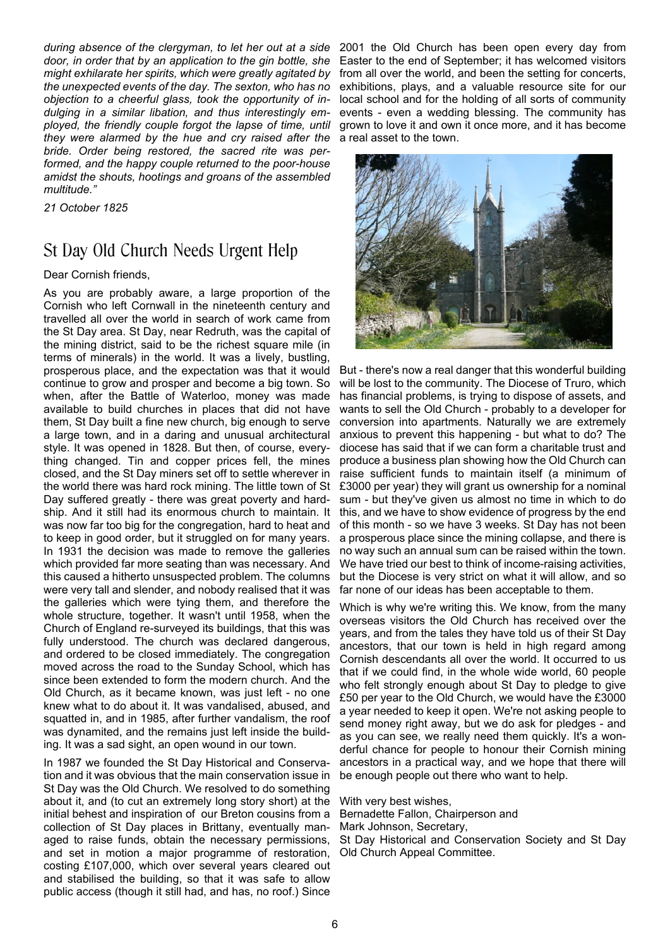*during absence of the clergyman, to let her out at a side door, in order that by an application to the gin bottle, she might exhilarate her spirits, which were greatly agitated by the unexpected events of the day. The sexton, who has no objection to a cheerful glass, took the opportunity of indulging in a similar libation, and thus interestingly employed, the friendly couple forgot the lapse of time, until they were alarmed by the hue and cry raised after the bride. Order being restored, the sacred rite was performed, and the happy couple returned to the poor-house amidst the shouts, hootings and groans of the assembled multitude."*

*21 October 1825*

### St Day Old Church Needs Urgent Help

Dear Cornish friends,

As you are probably aware, a large proportion of the Cornish who left Cornwall in the nineteenth century and travelled all over the world in search of work came from the St Day area. St Day, near Redruth, was the capital of the mining district, said to be the richest square mile (in terms of minerals) in the world. It was a lively, bustling, prosperous place, and the expectation was that it would continue to grow and prosper and become a big town. So when, after the Battle of Waterloo, money was made available to build churches in places that did not have them, St Day built a fine new church, big enough to serve a large town, and in a daring and unusual architectural style. It was opened in 1828. But then, of course, everything changed. Tin and copper prices fell, the mines closed, and the St Day miners set off to settle wherever in the world there was hard rock mining. The little town of St Day suffered greatly - there was great poverty and hardship. And it still had its enormous church to maintain. It was now far too big for the congregation, hard to heat and to keep in good order, but it struggled on for many years. In 1931 the decision was made to remove the galleries which provided far more seating than was necessary. And this caused a hitherto unsuspected problem. The columns were very tall and slender, and nobody realised that it was the galleries which were tying them, and therefore the whole structure, together. It wasn't until 1958, when the Church of England re-surveyed its buildings, that this was fully understood. The church was declared dangerous, and ordered to be closed immediately. The congregation moved across the road to the Sunday School, which has since been extended to form the modern church. And the Old Church, as it became known, was just left - no one knew what to do about it. It was vandalised, abused, and squatted in, and in 1985, after further vandalism, the roof was dynamited, and the remains just left inside the building. It was a sad sight, an open wound in our town.

In 1987 we founded the St Day Historical and Conservation and it was obvious that the main conservation issue in St Day was the Old Church. We resolved to do something about it, and (to cut an extremely long story short) at the initial behest and inspiration of our Breton cousins from a collection of St Day places in Brittany, eventually managed to raise funds, obtain the necessary permissions, and set in motion a major programme of restoration, costing £107,000, which over several years cleared out and stabilised the building, so that it was safe to allow public access (though it still had, and has, no roof.) Since

2001 the Old Church has been open every day from Easter to the end of September; it has welcomed visitors from all over the world, and been the setting for concerts, exhibitions, plays, and a valuable resource site for our local school and for the holding of all sorts of community events - even a wedding blessing. The community has grown to love it and own it once more, and it has become a real asset to the town.



But - there's now a real danger that this wonderful building will be lost to the community. The Diocese of Truro, which has financial problems, is trying to dispose of assets, and wants to sell the Old Church - probably to a developer for conversion into apartments. Naturally we are extremely anxious to prevent this happening - but what to do? The diocese has said that if we can form a charitable trust and produce a business plan showing how the Old Church can raise sufficient funds to maintain itself (a minimum of £3000 per year) they will grant us ownership for a nominal sum - but they've given us almost no time in which to do this, and we have to show evidence of progress by the end of this month - so we have 3 weeks. St Day has not been a prosperous place since the mining collapse, and there is no way such an annual sum can be raised within the town. We have tried our best to think of income-raising activities, but the Diocese is very strict on what it will allow, and so far none of our ideas has been acceptable to them.

Which is why we're writing this. We know, from the many overseas visitors the Old Church has received over the years, and from the tales they have told us of their St Day ancestors, that our town is held in high regard among Cornish descendants all over the world. It occurred to us that if we could find, in the whole wide world, 60 people who felt strongly enough about St Day to pledge to give £50 per year to the Old Church, we would have the £3000 a year needed to keep it open. We're not asking people to send money right away, but we do ask for pledges - and as you can see, we really need them quickly. It's a wonderful chance for people to honour their Cornish mining ancestors in a practical way, and we hope that there will be enough people out there who want to help.

With very best wishes,

Bernadette Fallon, Chairperson and

Mark Johnson, Secretary,

St Day Historical and Conservation Society and St Day Old Church Appeal Committee.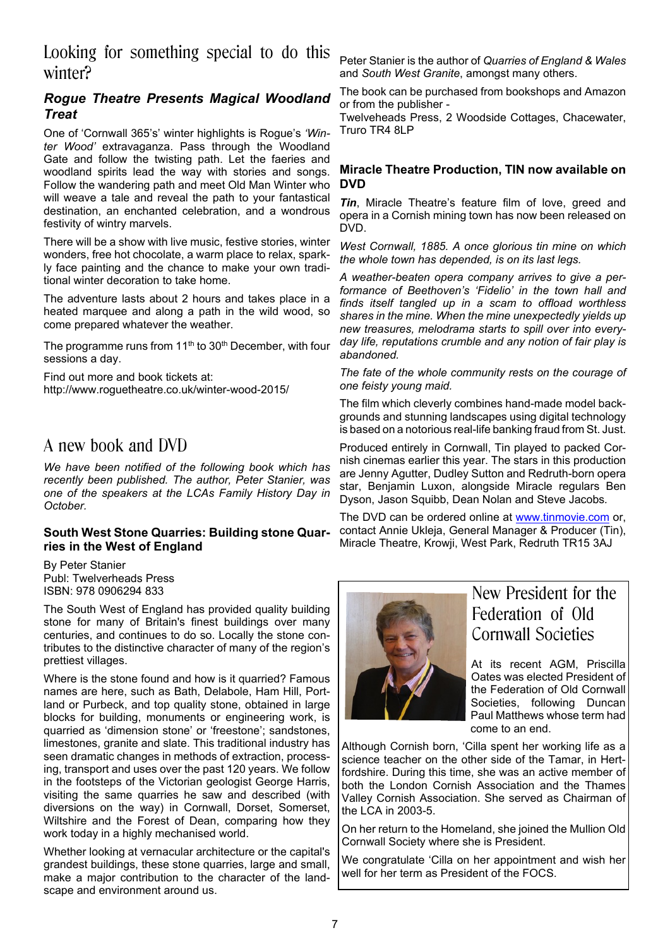### Looking for something special to do this winter?

### *Rogue Theatre Presents Magical Woodland Treat*

One of 'Cornwall 365's' winter highlights is Rogue's *'Winter Wood'* extravaganza. Pass through the Woodland Gate and follow the twisting path. Let the faeries and woodland spirits lead the way with stories and songs. Follow the wandering path and meet Old Man Winter who will weave a tale and reveal the path to your fantastical destination, an enchanted celebration, and a wondrous festivity of wintry marvels.

There will be a show with live music, festive stories, winter wonders, free hot chocolate, a warm place to relax, sparkly face painting and the chance to make your own traditional winter decoration to take home.

The adventure lasts about 2 hours and takes place in a heated marquee and along a path in the wild wood, so come prepared whatever the weather.

The programme runs from 11<sup>th</sup> to 30<sup>th</sup> December, with four sessions a day.

Find out more and book tickets at: http://www.roguetheatre.co.uk/winter-wood-2015/

### A new book and DVD

*We have been notified of the following book which has recently been published. The author, Peter Stanier, was one of the speakers at the LCAs Family History Day in October.*

### **South West Stone Quarries: Building stone Quarries in the West of England**

By Peter Stanier Publ: Twelverheads Press ISBN: 978 0906294 833

The South West of England has provided quality building stone for many of Britain's finest buildings over many centuries, and continues to do so. Locally the stone contributes to the distinctive character of many of the region's prettiest villages.

Where is the stone found and how is it quarried? Famous names are here, such as Bath, Delabole, Ham Hill, Portland or Purbeck, and top quality stone, obtained in large blocks for building, monuments or engineering work, is quarried as 'dimension stone' or 'freestone'; sandstones, limestones, granite and slate. This traditional industry has seen dramatic changes in methods of extraction, processing, transport and uses over the past 120 years. We follow in the footsteps of the Victorian geologist George Harris, visiting the same quarries he saw and described (with diversions on the way) in Cornwall, Dorset, Somerset, Wiltshire and the Forest of Dean, comparing how they work today in a highly mechanised world.

Whether looking at vernacular architecture or the capital's grandest buildings, these stone quarries, large and small, make a major contribution to the character of the landscape and environment around us.

Peter Stanier is the author of *Quarries of England & Wales* and *South West Granite*, amongst many others.

The book can be purchased from bookshops and Amazon or from the publisher -

Twelveheads Press, 2 Woodside Cottages, Chacewater, Truro TR4 8LP

### **Miracle Theatre Production, TIN now available on DVD**

*Tin*, Miracle Theatre's feature film of love, greed and opera in a Cornish mining town has now been released on DVD.

*West Cornwall, 1885. A once glorious tin mine on which the whole town has depended, is on its last legs.*

*A weather-beaten opera company arrives to give a performance of Beethoven's 'Fidelio' in the town hall and finds itself tangled up in a scam to offload worthless shares in the mine. When the mine unexpectedly yields up new treasures, melodrama starts to spill over into everyday life, reputations crumble and any notion of fair play is abandoned.*

*The fate of the whole community rests on the courage of one feisty young maid.*

The film which cleverly combines hand-made model backgrounds and stunning landscapes using digital technology is based on a notorious real-life banking fraud from St. Just.

Produced entirely in Cornwall, Tin played to packed Cornish cinemas earlier this year. The stars in this production are Jenny Agutter, Dudley Sutton and Redruth-born opera star, Benjamin Luxon, alongside Miracle regulars Ben Dyson, Jason Squibb, Dean Nolan and Steve Jacobs*.*

The DVD can be ordered online at www.tinmovie.com or, contact Annie Ukleja, General Manager & Producer (Tin), Miracle Theatre, Krowji, West Park, Redruth TR15 3AJ



## New President for the Federation of Old Cornwall Societies

At its recent AGM, Priscilla Oates was elected President of the Federation of Old Cornwall Societies, following Duncan Paul Matthews whose term had come to an end.

Although Cornish born, 'Cilla spent her working life as a science teacher on the other side of the Tamar, in Hertfordshire. During this time, she was an active member of both the London Cornish Association and the Thames Valley Cornish Association. She served as Chairman of the LCA in 2003-5.

On her return to the Homeland, she joined the Mullion Old Cornwall Society where she is President.

We congratulate 'Cilla on her appointment and wish her well for her term as President of the FOCS.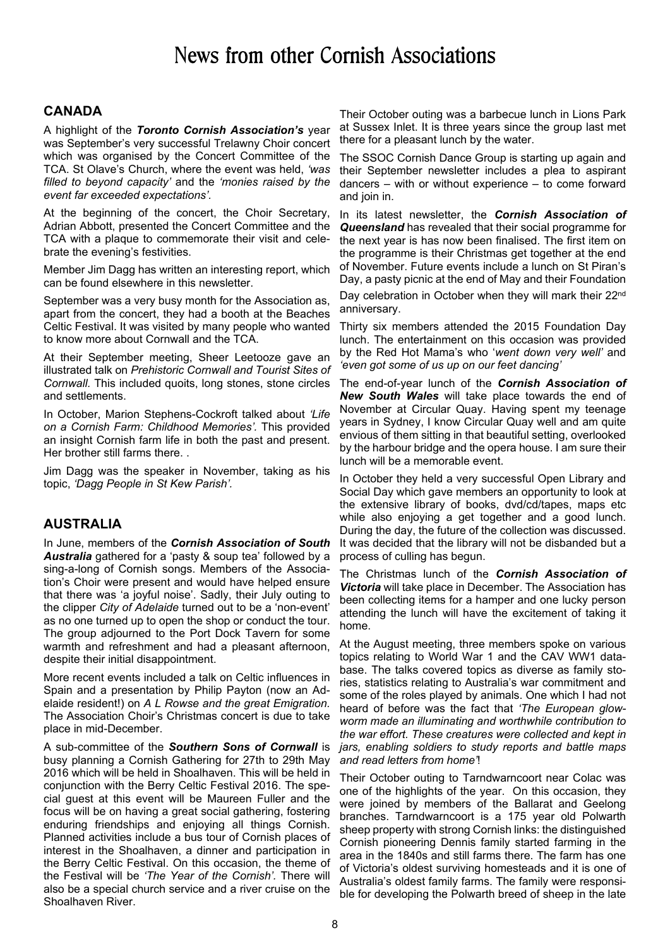## News from other Cornish Associations

### **CANADA**

A highlight of the *Toronto Cornish Association's* year was September's very successful Trelawny Choir concert which was organised by the Concert Committee of the TCA. St Olave's Church, where the event was held, *'was filled to beyond capacity'* and the *'monies raised by the event far exceeded expectations'.*

At the beginning of the concert, the Choir Secretary, Adrian Abbott, presented the Concert Committee and the TCA with a plaque to commemorate their visit and celebrate the evening's festivities.

Member Jim Dagg has written an interesting report, which can be found elsewhere in this newsletter.

September was a very busy month for the Association as, apart from the concert, they had a booth at the Beaches Celtic Festival. It was visited by many people who wanted to know more about Cornwall and the TCA.

At their September meeting, Sheer Leetooze gave an illustrated talk on *Prehistoric Cornwall and Tourist Sites of Cornwall.* This included quoits, long stones, stone circles and settlements.

In October, Marion Stephens-Cockroft talked about *'Life on a Cornish Farm: Childhood Memories'.* This provided an insight Cornish farm life in both the past and present. Her brother still farms there. .

Jim Dagg was the speaker in November, taking as his topic, *'Dagg People in St Kew Parish'.*

### **AUSTRALIA**

In June, members of the *Cornish Association of South Australia* gathered for a 'pasty & soup tea' followed by a sing-a-long of Cornish songs. Members of the Association's Choir were present and would have helped ensure that there was 'a joyful noise'. Sadly, their July outing to the clipper *City of Adelaide* turned out to be a 'non-event' as no one turned up to open the shop or conduct the tour. The group adjourned to the Port Dock Tavern for some warmth and refreshment and had a pleasant afternoon, despite their initial disappointment.

More recent events included a talk on Celtic influences in Spain and a presentation by Philip Payton (now an Adelaide resident!) on *A L Rowse and the great Emigration.* The Association Choir's Christmas concert is due to take place in mid-December.

A sub-committee of the *Southern Sons of Cornwall* is busy planning a Cornish Gathering for 27th to 29th May 2016 which will be held in Shoalhaven. This will be held in conjunction with the Berry Celtic Festival 2016. The special guest at this event will be Maureen Fuller and the focus will be on having a great social gathering, fostering enduring friendships and enjoying all things Cornish. Planned activities include a bus tour of Cornish places of interest in the Shoalhaven, a dinner and participation in the Berry Celtic Festival. On this occasion, the theme of the Festival will be *'The Year of the Cornish'.* There will also be a special church service and a river cruise on the Shoalhaven River.

Their October outing was a barbecue lunch in Lions Park at Sussex Inlet. It is three years since the group last met there for a pleasant lunch by the water.

The SSOC Cornish Dance Group is starting up again and their September newsletter includes a plea to aspirant dancers – with or without experience – to come forward and join in.

In its latest newsletter, the *Cornish Association of Queensland* has revealed that their social programme for the next year is has now been finalised. The first item on the programme is their Christmas get together at the end of November. Future events include a lunch on St Piran's Day, a pasty picnic at the end of May and their Foundation

Day celebration in October when they will mark their 22<sup>nd</sup> anniversary.

Thirty six members attended the 2015 Foundation Day lunch. The entertainment on this occasion was provided by the Red Hot Mama's who '*went down very well'* and *'even got some of us up on our feet dancing'*

The end-of-year lunch of the *Cornish Association of New South Wales* will take place towards the end of November at Circular Quay. Having spent my teenage years in Sydney, I know Circular Quay well and am quite envious of them sitting in that beautiful setting, overlooked by the harbour bridge and the opera house. I am sure their lunch will be a memorable event.

In October they held a very successful Open Library and Social Day which gave members an opportunity to look at the extensive library of books, dvd/cd/tapes, maps etc while also enjoying a get together and a good lunch. During the day, the future of the collection was discussed. It was decided that the library will not be disbanded but a process of culling has begun.

The Christmas lunch of the *Cornish Association of Victoria* will take place in December. The Association has been collecting items for a hamper and one lucky person attending the lunch will have the excitement of taking it home.

At the August meeting, three members spoke on various topics relating to World War 1 and the CAV WW1 database. The talks covered topics as diverse as family stories, statistics relating to Australia's war commitment and some of the roles played by animals. One which I had not heard of before was the fact that *'The European glowworm made an illuminating and worthwhile contribution to the war effort. These creatures were collected and kept in jars, enabling soldiers to study reports and battle maps and read letters from home'*!

Their October outing to Tarndwarncoort near Colac was one of the highlights of the year. On this occasion, they were joined by members of the Ballarat and Geelong branches. Tarndwarncoort is a 175 year old Polwarth sheep property with strong Cornish links: the distinguished Cornish pioneering Dennis family started farming in the area in the 1840s and still farms there. The farm has one of Victoria's oldest surviving homesteads and it is one of Australia's oldest family farms. The family were responsible for developing the Polwarth breed of sheep in the late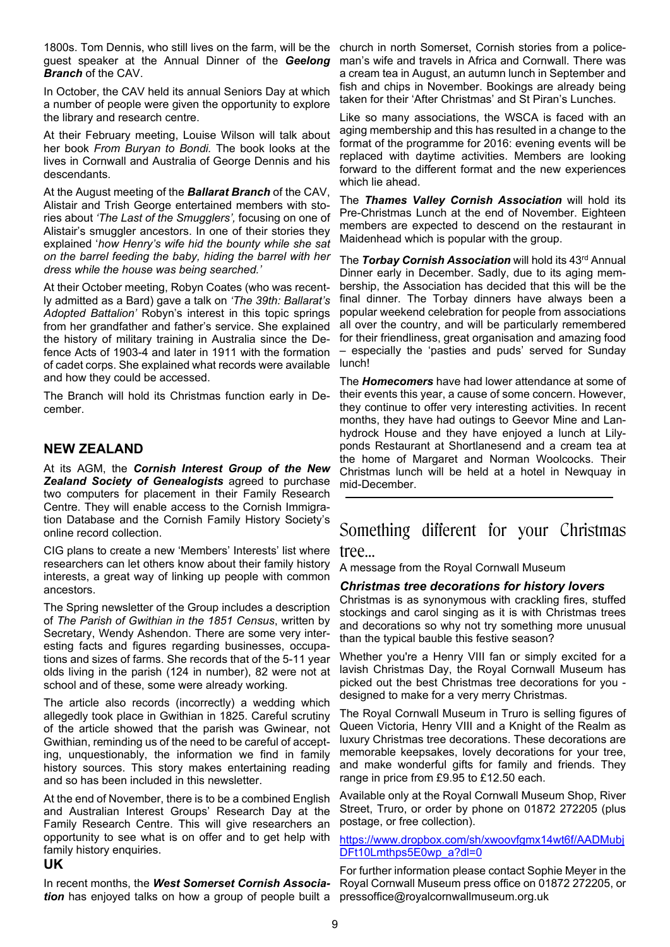1800s. Tom Dennis, who still lives on the farm, will be the church in north Somerset, Cornish stories from a policeguest speaker at the Annual Dinner of the *Geelong Branch* of the CAV.

In October, the CAV held its annual Seniors Day at which a number of people were given the opportunity to explore the library and research centre.

At their February meeting, Louise Wilson will talk about her book *From Buryan to Bondi.* The book looks at the lives in Cornwall and Australia of George Dennis and his descendants.

At the August meeting of the *Ballarat Branch* of the CAV, Alistair and Trish George entertained members with stories about *'The Last of the Smugglers',* focusing on one of Alistair's smuggler ancestors. In one of their stories they explained '*how Henry's wife hid the bounty while she sat on the barrel feeding the baby, hiding the barrel with her dress while the house was being searched.'*

At their October meeting, Robyn Coates (who was recently admitted as a Bard) gave a talk on *'The 39th: Ballarat's Adopted Battalion'* Robyn's interest in this topic springs from her grandfather and father's service. She explained the history of military training in Australia since the Defence Acts of 1903-4 and later in 1911 with the formation of cadet corps. She explained what records were available and how they could be accessed.

The Branch will hold its Christmas function early in December.

### **NEW ZEALAND**

At its AGM, the *Cornish Interest Group of the New Zealand Society of Genealogists* agreed to purchase two computers for placement in their Family Research Centre. They will enable access to the Cornish Immigration Database and the Cornish Family History Society's online record collection.

CIG plans to create a new 'Members' Interests' list where researchers can let others know about their family history interests, a great way of linking up people with common ancestors.

The Spring newsletter of the Group includes a description of *The Parish of Gwithian in the 1851 Census*, written by Secretary, Wendy Ashendon. There are some very interesting facts and figures regarding businesses, occupations and sizes of farms. She records that of the 5-11 year olds living in the parish (124 in number), 82 were not at school and of these, some were already working.

The article also records (incorrectly) a wedding which allegedly took place in Gwithian in 1825. Careful scrutiny of the article showed that the parish was Gwinear, not Gwithian, reminding us of the need to be careful of accepting, unquestionably, the information we find in family history sources. This story makes entertaining reading and so has been included in this newsletter.

At the end of November, there is to be a combined English and Australian Interest Groups' Research Day at the Family Research Centre. This will give researchers an opportunity to see what is on offer and to get help with family history enquiries.

### **UK**

In recent months, the *West Somerset Cornish Association* has enjoyed talks on how a group of people built a pressoffice@royalcornwallmuseum.org.uk

man's wife and travels in Africa and Cornwall. There was a cream tea in August, an autumn lunch in September and fish and chips in November. Bookings are already being taken for their 'After Christmas' and St Piran's Lunches.

Like so many associations, the WSCA is faced with an aging membership and this has resulted in a change to the format of the programme for 2016: evening events will be replaced with daytime activities. Members are looking forward to the different format and the new experiences which lie ahead.

The *Thames Valley Cornish Association* will hold its Pre-Christmas Lunch at the end of November. Eighteen members are expected to descend on the restaurant in Maidenhead which is popular with the group.

The *Torbay Cornish Association* will hold its 43rd Annual Dinner early in December. Sadly, due to its aging membership, the Association has decided that this will be the final dinner. The Torbay dinners have always been a popular weekend celebration for people from associations all over the country, and will be particularly remembered for their friendliness, great organisation and amazing food – especially the 'pasties and puds' served for Sunday lunch!

The *Homecomers* have had lower attendance at some of their events this year, a cause of some concern. However, they continue to offer very interesting activities. In recent months, they have had outings to Geevor Mine and Lanhydrock House and they have enjoyed a lunch at Lilyponds Restaurant at Shortlanesend and a cream tea at the home of Margaret and Norman Woolcocks. Their Christmas lunch will be held at a hotel in Newquay in mid-December.

# Something different for your Christmas

tree…

A message from the Royal Cornwall Museum

### *Christmas tree decorations for history lovers*

Christmas is as synonymous with crackling fires, stuffed stockings and carol singing as it is with Christmas trees and decorations so why not try something more unusual than the typical bauble this festive season?

Whether you're a Henry VIII fan or simply excited for a lavish Christmas Day, the Royal Cornwall Museum has picked out the best Christmas tree decorations for you designed to make for a very merry Christmas.

The Royal Cornwall Museum in Truro is selling figures of Queen Victoria, Henry VIII and a Knight of the Realm as luxury Christmas tree decorations. These decorations are memorable keepsakes, lovely decorations for your tree, and make wonderful gifts for family and friends. They range in price from £9.95 to £12.50 each.

Available only at the Royal Cornwall Museum Shop, River Street, Truro, or order by phone on 01872 272205 (plus postage, or free collection).

#### https://www.dropbox.com/sh/xwoovfgmx14wt6f/AADMubj DFt10Lmthps5E0wp\_a?dl=0

For further information please contact Sophie Meyer in the Royal Cornwall Museum press office on 01872 272205, or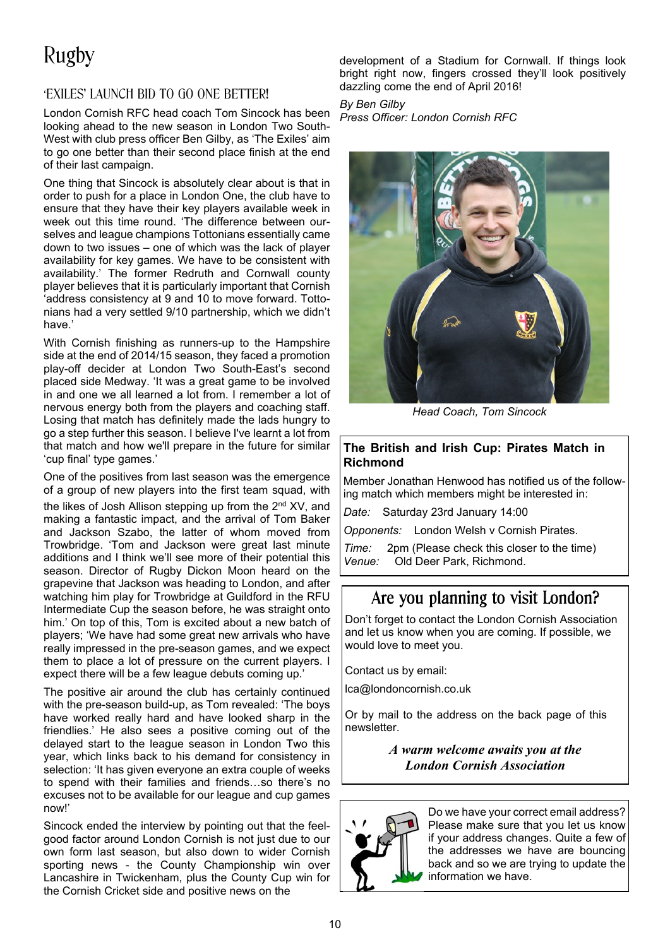# Rugby

### 'EXILES' LAUNCH BID TO GO ONE BETTER!

London Cornish RFC head coach Tom Sincock has been looking ahead to the new season in London Two South-West with club press officer Ben Gilby, as 'The Exiles' aim to go one better than their second place finish at the end of their last campaign.

One thing that Sincock is absolutely clear about is that in order to push for a place in London One, the club have to ensure that they have their key players available week in week out this time round. 'The difference between ourselves and league champions Tottonians essentially came down to two issues – one of which was the lack of player availability for key games. We have to be consistent with availability.' The former Redruth and Cornwall county player believes that it is particularly important that Cornish 'address consistency at 9 and 10 to move forward. Tottonians had a very settled 9/10 partnership, which we didn't have.'

With Cornish finishing as runners-up to the Hampshire side at the end of 2014/15 season, they faced a promotion play-off decider at London Two South-East's second placed side Medway. 'It was a great game to be involved in and one we all learned a lot from. I remember a lot of nervous energy both from the players and coaching staff. Losing that match has definitely made the lads hungry to go a step further this season. I believe I've learnt a lot from that match and how we'll prepare in the future for similar 'cup final' type games.'

One of the positives from last season was the emergence of a group of new players into the first team squad, with the likes of Josh Allison stepping up from the 2<sup>nd</sup> XV, and making a fantastic impact, and the arrival of Tom Baker and Jackson Szabo, the latter of whom moved from Trowbridge. 'Tom and Jackson were great last minute additions and I think we'll see more of their potential this season. Director of Rugby Dickon Moon heard on the grapevine that Jackson was heading to London, and after watching him play for Trowbridge at Guildford in the RFU Intermediate Cup the season before, he was straight onto him.' On top of this, Tom is excited about a new batch of players; 'We have had some great new arrivals who have really impressed in the pre-season games, and we expect them to place a lot of pressure on the current players. I expect there will be a few league debuts coming up.'

The positive air around the club has certainly continued with the pre-season build-up, as Tom revealed: 'The boys have worked really hard and have looked sharp in the friendlies.' He also sees a positive coming out of the delayed start to the league season in London Two this year, which links back to his demand for consistency in selection: 'It has given everyone an extra couple of weeks to spend with their families and friends…so there's no excuses not to be available for our league and cup games now!'

Sincock ended the interview by pointing out that the feelgood factor around London Cornish is not just due to our own form last season, but also down to wider Cornish sporting news - the County Championship win over Lancashire in Twickenham, plus the County Cup win for the Cornish Cricket side and positive news on the

development of a Stadium for Cornwall. If things look bright right now, fingers crossed they'll look positively dazzling come the end of April 2016!

### *By Ben Gilby*

*Press Officer: London Cornish RFC*



*Head Coach, Tom Sincock*

### **The British and Irish Cup: Pirates Match in Richmond**

Member Jonathan Henwood has notified us of the following match which members might be interested in:

*Date:* Saturday 23rd January 14:00

*Opponents:* London Welsh v Cornish Pirates.

*Time:* 2pm (Please check this closer to the time) *Venue:* Old Deer Park, Richmond.

## Are you planning to visit London?

Don't forget to contact the London Cornish Association and let us know when you are coming. If possible, we would love to meet you.

Contact us by email:

lca@londoncornish.co.uk

Or by mail to the address on the back page of this newsletter.

> *A warm welcome awaits you at the London Cornish Association*



Do we have your correct email address? Please make sure that you let us know if your address changes. Quite a few of the addresses we have are bouncing back and so we are trying to update the information we have.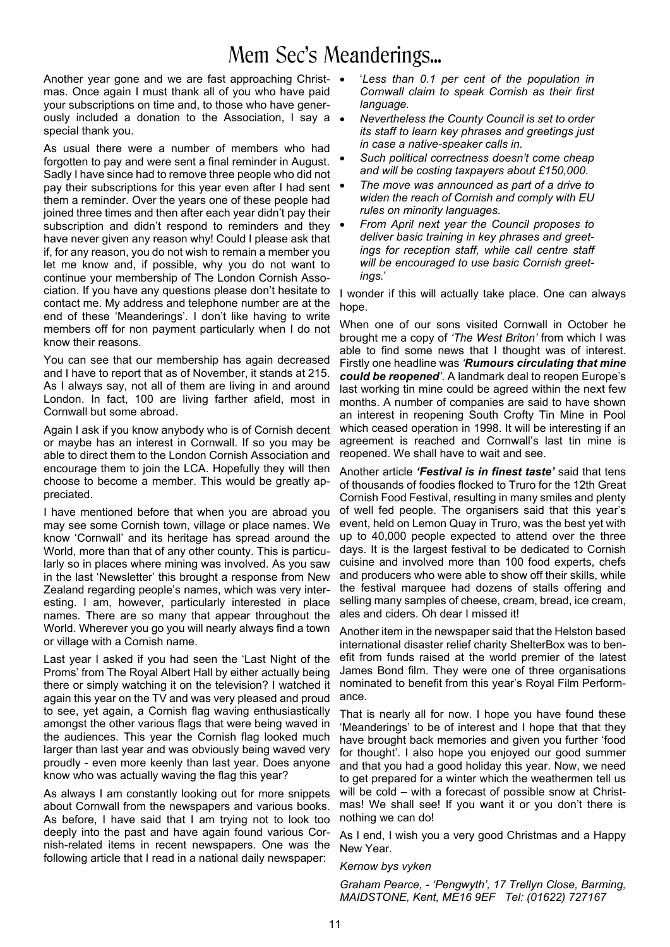## Mem Sec's Meanderings...

Another year gone and we are fast approaching Christ-  $\bullet$ mas. Once again I must thank all of you who have paid your subscriptions on time and, to those who have generously included a donation to the Association, I say a  $\bullet$ special thank you.

As usual there were a number of members who had forgotten to pay and were sent a final reminder in August. Sadly I have since had to remove three people who did not pay their subscriptions for this year even after I had sent them a reminder. Over the years one of these people had joined three times and then after each year didn't pay their subscription and didn't respond to reminders and they have never given any reason why! Could I please ask that if, for any reason, you do not wish to remain a member you let me know and, if possible, why you do not want to continue your membership of The London Cornish Association. If you have any questions please don't hesitate to contact me. My address and telephone number are at the end of these 'Meanderings'. I don't like having to write members off for non payment particularly when I do not know their reasons.

You can see that our membership has again decreased and I have to report that as of November, it stands at 215. As I always say, not all of them are living in and around London. In fact, 100 are living farther afield, most in Cornwall but some abroad.

Again I ask if you know anybody who is of Cornish decent or maybe has an interest in Cornwall. If so you may be able to direct them to the London Cornish Association and encourage them to join the LCA. Hopefully they will then choose to become a member. This would be greatly appreciated.

I have mentioned before that when you are abroad you may see some Cornish town, village or place names. We know 'Cornwall' and its heritage has spread around the World, more than that of any other county. This is particularly so in places where mining was involved. As you saw in the last 'Newsletter' this brought a response from New Zealand regarding people's names, which was very interesting. I am, however, particularly interested in place names. There are so many that appear throughout the World. Wherever you go you will nearly always find a town or village with a Cornish name.

Last year I asked if you had seen the 'Last Night of the Proms' from The Royal Albert Hall by either actually being there or simply watching it on the television? I watched it again this year on the TV and was very pleased and proud to see, yet again, a Cornish flag waving enthusiastically amongst the other various flags that were being waved in the audiences. This year the Cornish flag looked much larger than last year and was obviously being waved very proudly - even more keenly than last year. Does anyone know who was actually waving the flag this year?

As always I am constantly looking out for more snippets about Cornwall from the newspapers and various books. As before, I have said that I am trying not to look too deeply into the past and have again found various Cornish-related items in recent newspapers. One was the following article that I read in a national daily newspaper:

- · '*Less than 0.1 per cent of the population in Cornwall claim to speak Cornish as their first language.*
- · *Nevertheless the County Council is set to order its staff to learn key phrases and greetings just in case a native-speaker calls in.*
- Such political correctness doesn't come cheap *and will be costing taxpayers about £150,000.*
- · *The move was announced as part of a drive to widen the reach of Cornish and comply with EU rules on minority languages.*
- · *From April next year the Council proposes to deliver basic training in key phrases and greetings for reception staff, while call centre staff will be encouraged to use basic Cornish greetings.*'

I wonder if this will actually take place. One can always hope.

When one of our sons visited Cornwall in October he brought me a copy of *'The West Briton'* from which I was able to find some news that I thought was of interest. Firstly one headline was *'Rumours circulating that mine could be reopened'*. A landmark deal to reopen Europe's last working tin mine could be agreed within the next few months. A number of companies are said to have shown an interest in reopening South Crofty Tin Mine in Pool which ceased operation in 1998. It will be interesting if an agreement is reached and Cornwall's last tin mine is reopened. We shall have to wait and see.

Another article *'Festival is in finest taste'* said that tens of thousands of foodies flocked to Truro for the 12th Great Cornish Food Festival, resulting in many smiles and plenty of well fed people. The organisers said that this year's event, held on Lemon Quay in Truro, was the best yet with up to 40,000 people expected to attend over the three days. It is the largest festival to be dedicated to Cornish cuisine and involved more than 100 food experts, chefs and producers who were able to show off their skills, while the festival marquee had dozens of stalls offering and selling many samples of cheese, cream, bread, ice cream, ales and ciders. Oh dear I missed it!

Another item in the newspaper said that the Helston based international disaster relief charity ShelterBox was to benefit from funds raised at the world premier of the latest James Bond film. They were one of three organisations nominated to benefit from this year's Royal Film Performance.

That is nearly all for now. I hope you have found these 'Meanderings' to be of interest and I hope that that they have brought back memories and given you further 'food for thought'. I also hope you enjoyed our good summer and that you had a good holiday this year. Now, we need to get prepared for a winter which the weathermen tell us will be cold – with a forecast of possible snow at Christmas! We shall see! If you want it or you don't there is nothing we can do!

As I end, I wish you a very good Christmas and a Happy New Year.

#### *Kernow bys vyken*

*Graham Pearce, - 'Pengwyth', 17 Trellyn Close, Barming, MAIDSTONE, Kent, ME16 9EF Tel: (01622) 727167*